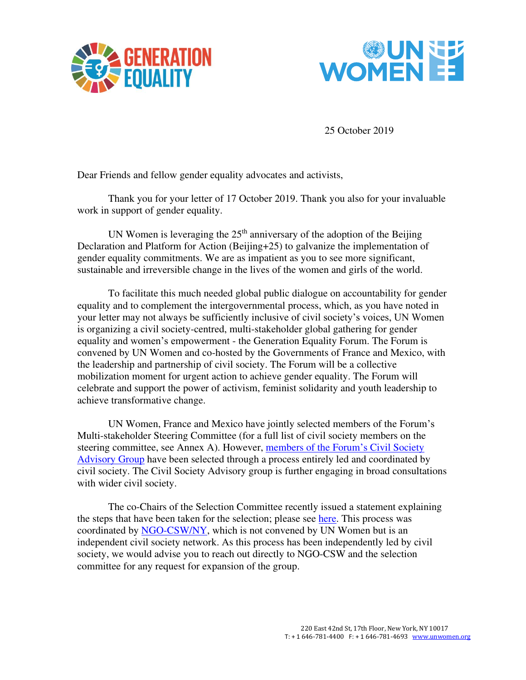



25 October 2019

Dear Friends and fellow gender equality advocates and activists,

Thank you for your letter of 17 October 2019. Thank you also for your invaluable work in support of gender equality.

UN Women is leveraging the  $25<sup>th</sup>$  anniversary of the adoption of the Beijing Declaration and Platform for Action (Beijing+25) to galvanize the implementation of gender equality commitments. We are as impatient as you to see more significant, sustainable and irreversible change in the lives of the women and girls of the world.

To facilitate this much needed global public dialogue on accountability for gender equality and to complement the intergovernmental process, which, as you have noted in your letter may not always be sufficiently inclusive of civil society's voices, UN Women is organizing a civil society-centred, multi-stakeholder global gathering for gender equality and women's empowerment - the Generation Equality Forum. The Forum is convened by UN Women and co-hosted by the Governments of France and Mexico, with the leadership and partnership of civil society. The Forum will be a collective mobilization moment for urgent action to achieve gender equality. The Forum will celebrate and support the power of activism, feminist solidarity and youth leadership to achieve transformative change.

UN Women, France and Mexico have jointly selected members of the Forum's Multi-stakeholder Steering Committee (for a full list of civil society members on the steering committee, see Annex A). However, [members of the Forum](https://gallery.mailchimp.com/eb520eecfe82a5bf0d814ea1f/files/32bf4fcb-6a71-4cf4-b08f-1ad60a063a2a/Advisory_Group_Photos_Bios_1__1.pdf?utm_source=NGO+CSW%2FNY+Constituency&utm_campaign=13e7c72b78-EMAIL_CAMPAIGN_2019_10_21_05_45&utm_medium=email&utm_term=0_67ac6441ff-13e7c72b78-411778293&mc_cid=13e7c72b78&mc_eid=7eb7c6fca0)'s Civil Society [Advisory Group](https://gallery.mailchimp.com/eb520eecfe82a5bf0d814ea1f/files/32bf4fcb-6a71-4cf4-b08f-1ad60a063a2a/Advisory_Group_Photos_Bios_1__1.pdf?utm_source=NGO+CSW%2FNY+Constituency&utm_campaign=13e7c72b78-EMAIL_CAMPAIGN_2019_10_21_05_45&utm_medium=email&utm_term=0_67ac6441ff-13e7c72b78-411778293&mc_cid=13e7c72b78&mc_eid=7eb7c6fca0) have been selected through a process entirely led and coordinated by civil society. The Civil Society Advisory group is further engaging in broad consultations with wider civil society.

The co-Chairs of the Selection Committee recently issued a statement explaining the steps that have been taken for the selection; please see [here.](https://docs.google.com/document/d/1fE7i6EsVQl8hcHwv4CCkL-sSW-bcmM5N0_VQQVTwgn4/edit?mc_cid=13e7c72b78&mc_eid=7eb7c6fca0) This process was coordinated by [NGO-CSW/NY,](https://ngocsw.org/) which is not convened by UN Women but is an independent civil society network. As this process has been independently led by civil society, we would advise you to reach out directly to NGO-CSW and the selection committee for any request for expansion of the group.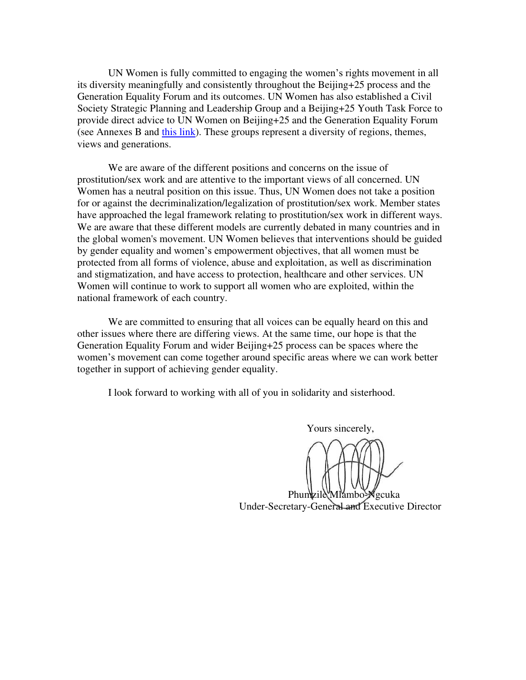UN Women is fully committed to engaging the women's rights movement in all its diversity meaningfully and consistently throughout the Beijing+25 process and the Generation Equality Forum and its outcomes. UN Women has also established a Civil Society Strategic Planning and Leadership Group and a Beijing+25 Youth Task Force to provide direct advice to UN Women on Beijing+25 and the Generation Equality Forum (see Annexes B and [this link\)](https://www.unwomen.org/-/media/headquarters/attachments/sections/news%20and%20events/stories/2019/beijing25-youthtaskforce-bios-en-compressed.pdf?la=en&vs=1135). These groups represent a diversity of regions, themes, views and generations.

We are aware of the different positions and concerns on the issue of prostitution/sex work and are attentive to the important views of all concerned. UN Women has a neutral position on this issue. Thus, UN Women does not take a position for or against the decriminalization/legalization of prostitution/sex work. Member states have approached the legal framework relating to prostitution/sex work in different ways. We are aware that these different models are currently debated in many countries and in the global women's movement. UN Women believes that interventions should be guided by gender equality and women's empowerment objectives, that all women must be protected from all forms of violence, abuse and exploitation, as well as discrimination and stigmatization, and have access to protection, healthcare and other services. UN Women will continue to work to support all women who are exploited, within the national framework of each country.

We are committed to ensuring that all voices can be equally heard on this and other issues where there are differing views. At the same time, our hope is that the Generation Equality Forum and wider Beijing+25 process can be spaces where the women's movement can come together around specific areas where we can work better together in support of achieving gender equality.

I look forward to working with all of you in solidarity and sisterhood.

Yours sincerely,

Phumzile Mlambo-**Ngcuka** Under-Secretary-General and Executive Director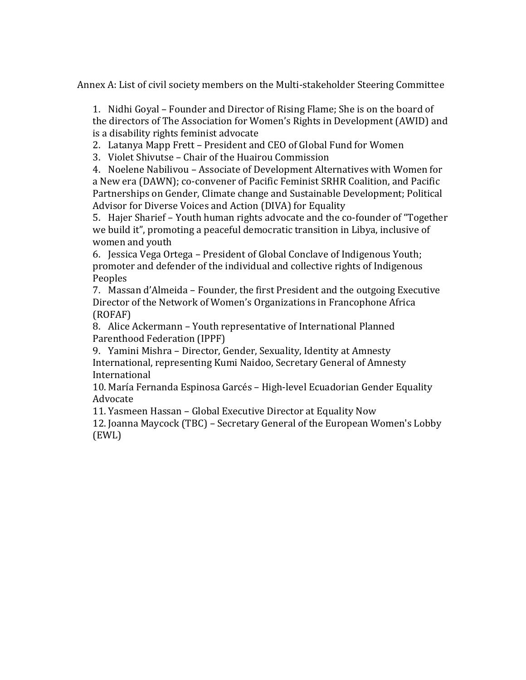Annex A: List of civil society members on the Multi-stakeholder Steering Committee

1. Nidhi Goyal – Founder and Director of Rising Flame; She is on the board of the directors of The Association for Women's Rights in Development (AWID) and is a disability rights feminist advocate

2. Latanya Mapp Frett – President and CEO of Global Fund for Women

3. Violet Shivutse – Chair of the Huairou Commission

4. Noelene Nabilivou – Associate of Development Alternatives with Women for a New era (DAWN); co-convener of Pacific Feminist SRHR Coalition, and Pacific Partnerships on Gender, Climate change and Sustainable Development; Political Advisor for Diverse Voices and Action (DIVA) for Equality

5. Hajer Sharief – Youth human rights advocate and the co-founder of "Together we build it", promoting a peaceful democratic transition in Libya, inclusive of women and youth

6. Jessica Vega Ortega – President of Global Conclave of Indigenous Youth; promoter and defender of the individual and collective rights of Indigenous Peoples

7. Massan d'Almeida – Founder, the first President and the outgoing Executive Director of the Network of Women's Organizations in Francophone Africa (ROFAF)

8. Alice Ackermann – Youth representative of International Planned Parenthood Federation (IPPF)

9. Yamini Mishra – Director, Gender, Sexuality, Identity at Amnesty International, representing Kumi Naidoo, Secretary General of Amnesty International

10. María Fernanda Espinosa Garcés – High-level Ecuadorian Gender Equality Advocate

11. Yasmeen Hassan – Global Executive Director at Equality Now

12. Joanna Maycock (TBC) – Secretary General of the European Women's Lobby (EWL)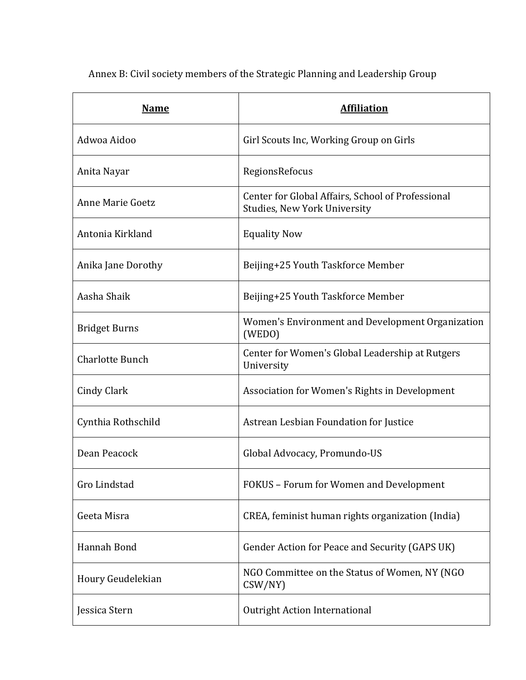| <b>Name</b>             | <b>Affiliation</b>                                                                |
|-------------------------|-----------------------------------------------------------------------------------|
| Adwoa Aidoo             | Girl Scouts Inc, Working Group on Girls                                           |
| Anita Nayar             | RegionsRefocus                                                                    |
| <b>Anne Marie Goetz</b> | Center for Global Affairs, School of Professional<br>Studies, New York University |
| Antonia Kirkland        | <b>Equality Now</b>                                                               |
| Anika Jane Dorothy      | Beijing+25 Youth Taskforce Member                                                 |
| Aasha Shaik             | Beijing+25 Youth Taskforce Member                                                 |
| <b>Bridget Burns</b>    | Women's Environment and Development Organization<br>(WEDO)                        |
| <b>Charlotte Bunch</b>  | Center for Women's Global Leadership at Rutgers<br>University                     |
| Cindy Clark             | Association for Women's Rights in Development                                     |
| Cynthia Rothschild      | Astrean Lesbian Foundation for Justice                                            |
| Dean Peacock            | Global Advocacy, Promundo-US                                                      |
| Gro Lindstad            | FOKUS - Forum for Women and Development                                           |
| Geeta Misra             | CREA, feminist human rights organization (India)                                  |
| Hannah Bond             | Gender Action for Peace and Security (GAPS UK)                                    |
| Houry Geudelekian       | NGO Committee on the Status of Women, NY (NGO<br>CSW/NY)                          |
| Jessica Stern           | <b>Outright Action International</b>                                              |

Annex B: Civil society members of the Strategic Planning and Leadership Group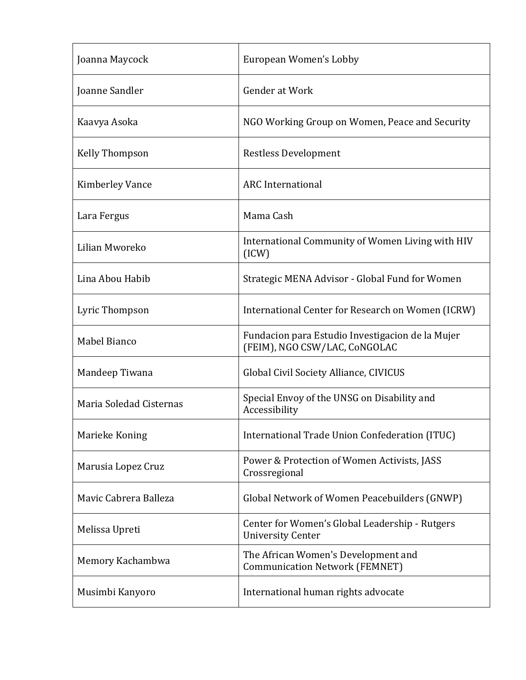| Joanna Maycock          | European Women's Lobby                                                            |
|-------------------------|-----------------------------------------------------------------------------------|
| Joanne Sandler          | Gender at Work                                                                    |
| Kaavya Asoka            | NGO Working Group on Women, Peace and Security                                    |
| <b>Kelly Thompson</b>   | <b>Restless Development</b>                                                       |
| Kimberley Vance         | <b>ARC</b> International                                                          |
| Lara Fergus             | Mama Cash                                                                         |
| Lilian Mworeko          | International Community of Women Living with HIV<br>(ICW)                         |
| Lina Abou Habib         | Strategic MENA Advisor - Global Fund for Women                                    |
| Lyric Thompson          | International Center for Research on Women (ICRW)                                 |
| Mabel Bianco            | Fundacion para Estudio Investigacion de la Mujer<br>(FEIM), NGO CSW/LAC, CoNGOLAC |
| Mandeep Tiwana          | Global Civil Society Alliance, CIVICUS                                            |
| Maria Soledad Cisternas | Special Envoy of the UNSG on Disability and<br>Accessibility                      |
| Marieke Koning          | International Trade Union Confederation (ITUC)                                    |
| Marusia Lopez Cruz      | Power & Protection of Women Activists, JASS<br>Crossregional                      |
| Mavic Cabrera Balleza   | Global Network of Women Peacebuilders (GNWP)                                      |
| Melissa Upreti          | Center for Women's Global Leadership - Rutgers<br><b>University Center</b>        |
| Memory Kachambwa        | The African Women's Development and<br><b>Communication Network (FEMNET)</b>      |
| Musimbi Kanyoro         | International human rights advocate                                               |